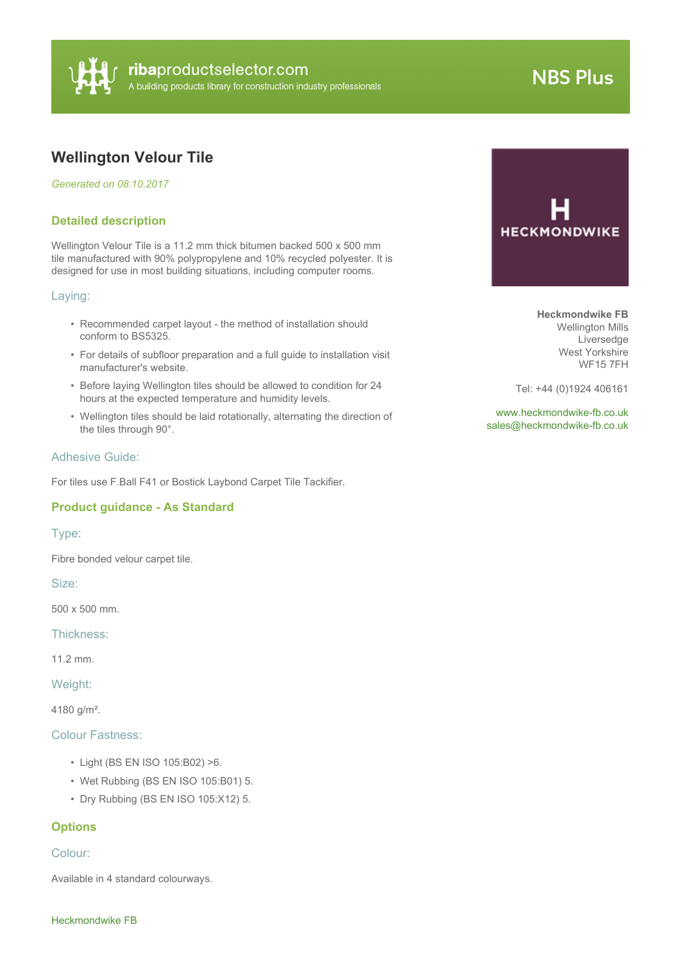

# **NBS Plus**

## **Wellington Velour Tile**

*Generated on 08.10.2017*

#### **Detailed description**

Wellington Velour Tile is a 11.2 mm thick bitumen backed 500 x 500 mm tile manufactured with 90% polypropylene and 10% recycled polyester. It is designed for use in most building situations, including computer rooms.

#### Laying:

- Recommended carpet layout the method of installation should conform to BS5325.
- For details of subfloor preparation and a full guide to installation visit manufacturer's website.
- Before laying Wellington tiles should be allowed to condition for 24 hours at the expected temperature and humidity levels.
- Wellington tiles should be laid rotationally, alternating the direction of the tiles through 90°.

#### Adhesive Guide:

For tiles use F.Ball F41 or Bostick Laybond Carpet Tile Tackifier.

#### **Product guidance - As Standard**

#### Type:

Fibre bonded velour carpet tile.

Size:

500 x 500 mm.

Thickness:

11.2 mm.

Weight:

4180 g/m².

#### Colour Fastness:

- Light (BS EN ISO 105:B02) >6.
- Wet Rubbing (BS EN ISO 105:B01) 5.
- Dry Rubbing (BS EN ISO 105:X12) 5.

#### **Options**

#### Colour:

Available in 4 standard colourways.



**Heckmondwike FB** Wellington Mills Liversedge West Yorkshire WF15 7FH

Tel: +44 (0)1924 406161

<www.heckmondwike-fb.co.uk> [sales@heckmondwike-fb.co.uk](mailto:sales@heckmondwike-fb.co.uk?subject=Wellington Velour Tile)